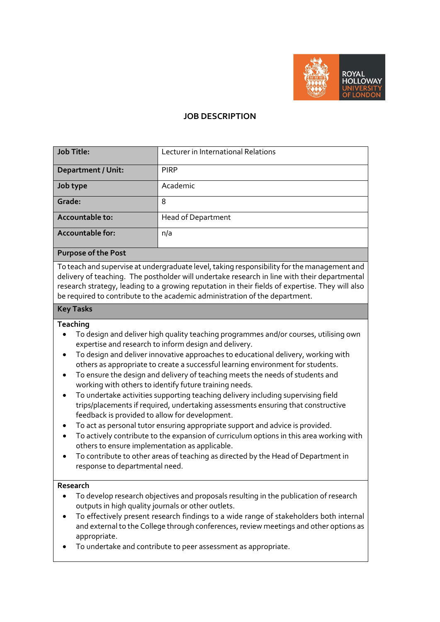

## **JOB DESCRIPTION**

| <b>Job Title:</b>         | Lecturer in International Relations |
|---------------------------|-------------------------------------|
| <b>Department / Unit:</b> | <b>PIRP</b>                         |
| Job type                  | Academic                            |
| Grade:                    | 8                                   |
| Accountable to:           | <b>Head of Department</b>           |
| Accountable for:          | n/a                                 |

#### **Purpose of the Post**

To teach and supervise at undergraduate level, taking responsibility for the management and delivery of teaching. The postholder will undertake research in line with their departmental research strategy, leading to a growing reputation in their fields of expertise. They will also be required to contribute to the academic administration of the department.

# **Key Tasks**

### **Teaching**

- To design and deliver high quality teaching programmes and/or courses, utilising own expertise and research to inform design and delivery.
- To design and deliver innovative approaches to educational delivery, working with others as appropriate to create a successful learning environment for students.
- To ensure the design and delivery of teaching meets the needs of students and working with others to identify future training needs.
- To undertake activities supporting teaching delivery including supervising field trips/placements if required, undertaking assessments ensuring that constructive feedback is provided to allow for development.
- To act as personal tutor ensuring appropriate support and advice is provided.
- To actively contribute to the expansion of curriculum options in this area working with others to ensure implementation as applicable.
- To contribute to other areas of teaching as directed by the Head of Department in response to departmental need.

### **Research**

- To develop research objectives and proposals resulting in the publication of research outputs in high quality journals or other outlets.
- To effectively present research findings to a wide range of stakeholders both internal and external to the College through conferences, review meetings and other options as appropriate.
- To undertake and contribute to peer assessment as appropriate.